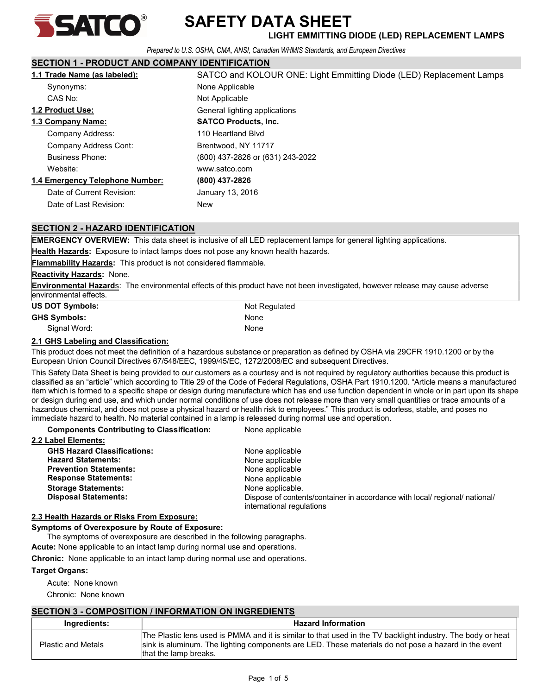

### SAFETY DATA SHEET  $\sum_{\mathsf{A}}\prod_{\mathsf{A}}\prod_{\mathsf{A}}\prod_{\mathsf{A}}\prod_{\mathsf{A}}$  SAFE I Y DATA SHEET

Prepared to U.S. OSHA, CMA, ANSI, Canadian WHMIS Standards, and European Directives

#### SECTION 1 - PRODUCT AND COMPANY IDENTIFICATION

| 1.1 Trade Name (as labeled):    | SATCO and KOLOUR ONE: Light Emmitting Diode (LED) Replacement Lamps |  |
|---------------------------------|---------------------------------------------------------------------|--|
| Synonyms:                       | None Applicable                                                     |  |
| CAS No:                         | Not Applicable                                                      |  |
| <b>1.2 Product Use:</b>         | General lighting applications                                       |  |
| 1.3 Company Name:               | <b>SATCO Products, Inc.</b>                                         |  |
| Company Address:                | 110 Heartland Blvd                                                  |  |
| Company Address Cont:           | Brentwood, NY 11717                                                 |  |
| <b>Business Phone:</b>          | (800) 437-2826 or (631) 243-2022                                    |  |
| Website:                        | www.satco.com                                                       |  |
| 1.4 Emergency Telephone Number: | (800) 437-2826                                                      |  |
| Date of Current Revision:       | January 13, 2016                                                    |  |
| Date of Last Revision:          | New                                                                 |  |

#### SECTION 2 - HAZARD IDENTIFICATION

EMERGENCY OVERVIEW: This data sheet is inclusive of all LED replacement lamps for general lighting applications.

Health Hazards: Exposure to intact lamps does not pose any known health hazards.

Flammability Hazards: This product is not considered flammable.

#### **Reactivity Hazards: None.**

**Environmental Hazards:** The environmental effects of this product have not been investigated, however release may cause adverse environmental effects.

| <b>US DOT Symbols:</b> | Not Regulated |  |
|------------------------|---------------|--|
| <b>GHS Symbols:</b>    | None          |  |
| Signal Word:           | None          |  |

#### 2.1 GHS Labeling and Classification:

This product does not meet the definition of a hazardous substance or preparation as defined by OSHA via 29CFR 1910.1200 or by the European Union Council Directives 67/548/EEC, 1999/45/EC, 1272/2008/EC and subsequent Directives.

This Safety Data Sheet is being provided to our customers as a courtesy and is not required by regulatory authorities because this product is classified as an "article" which according to Title 29 of the Code of Federal Regulations, OSHA Part 1910.1200. "Article means a manufactured item which is formed to a specific shape or design during manufacture which has end use function dependent in whole or in part upon its shape or design during end use, and which under normal conditions of use does not release more than very small quantities or trace amounts of a hazardous chemical, and does not pose a physical hazard or health risk to employees." This product is odorless, stable, and poses no immediate hazard to health. No material contained in a lamp is released during normal use and operation.

Components Contributing to Classification: None applicable

| <b>GHS Hazard Classifications:</b> | None applicable                                                                                          |
|------------------------------------|----------------------------------------------------------------------------------------------------------|
| <b>Hazard Statements:</b>          | None applicable                                                                                          |
| <b>Prevention Statements:</b>      | None applicable                                                                                          |
| <b>Response Statements:</b>        | None applicable                                                                                          |
| <b>Storage Statements:</b>         | None applicable.                                                                                         |
| <b>Disposal Statements:</b>        | Dispose of contents/container in accordance with local/ regional/ national/<br>international regulations |

#### 2.3 Health Hazards or Risks From Exposure:

#### Symptoms of Overexposure by Route of Exposure:

The symptoms of overexposure are described in the following paragraphs.

Acute: None applicable to an intact lamp during normal use and operations.

Chronic: None applicable to an intact lamp during normal use and operations.

#### Target Organs:

Acute: None known

Chronic: None known

#### SECTION 3 - COMPOSITION / INFORMATION ON INGREDIENTS

| Ingredients:              | <b>Hazard Information</b>                                                                                                                                                                                                                    |
|---------------------------|----------------------------------------------------------------------------------------------------------------------------------------------------------------------------------------------------------------------------------------------|
| <b>Plastic and Metals</b> | The Plastic lens used is PMMA and it is similar to that used in the TV backlight industry. The body or heat<br>sink is aluminum. The lighting components are LED. These materials do not pose a hazard in the event<br>that the lamp breaks. |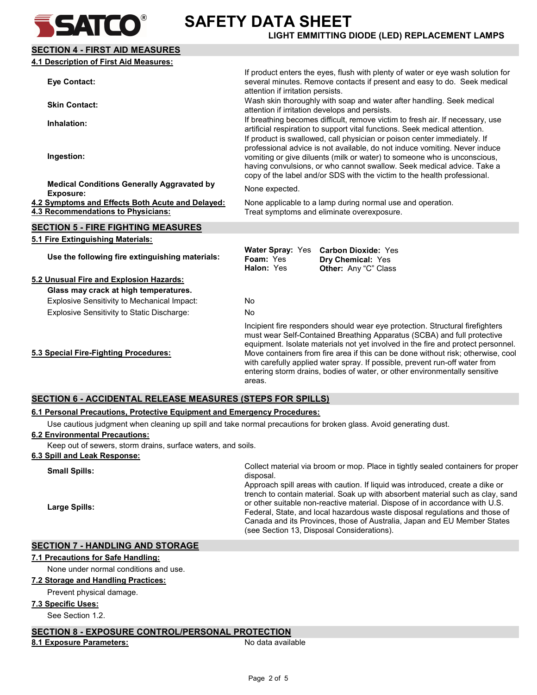SECTION 4 - FIRST AID MEASURES

## SAFETY DATA SHEET **SATEO** BAFETY DATA SHEET

| 4.1 Description of First Aid Measures:                                                        |                                                                                                                                                                                                                                                                                                                                                                                                                                                                                                         |                                                                                                                                                                                                                                                                                                                                                                                          |
|-----------------------------------------------------------------------------------------------|---------------------------------------------------------------------------------------------------------------------------------------------------------------------------------------------------------------------------------------------------------------------------------------------------------------------------------------------------------------------------------------------------------------------------------------------------------------------------------------------------------|------------------------------------------------------------------------------------------------------------------------------------------------------------------------------------------------------------------------------------------------------------------------------------------------------------------------------------------------------------------------------------------|
| <b>Eye Contact:</b>                                                                           | attention if irritation persists.                                                                                                                                                                                                                                                                                                                                                                                                                                                                       | If product enters the eyes, flush with plenty of water or eye wash solution for<br>several minutes. Remove contacts if present and easy to do. Seek medical                                                                                                                                                                                                                              |
| <b>Skin Contact:</b>                                                                          |                                                                                                                                                                                                                                                                                                                                                                                                                                                                                                         | Wash skin thoroughly with soap and water after handling. Seek medical<br>attention if irritation develops and persists.                                                                                                                                                                                                                                                                  |
| Inhalation:                                                                                   |                                                                                                                                                                                                                                                                                                                                                                                                                                                                                                         | If breathing becomes difficult, remove victim to fresh air. If necessary, use<br>artificial respiration to support vital functions. Seek medical attention.                                                                                                                                                                                                                              |
| Ingestion:                                                                                    |                                                                                                                                                                                                                                                                                                                                                                                                                                                                                                         | If product is swallowed, call physician or poison center immediately. If<br>professional advice is not available, do not induce vomiting. Never induce<br>vomiting or give diluents (milk or water) to someone who is unconscious,<br>having convulsions, or who cannot swallow. Seek medical advice. Take a<br>copy of the label and/or SDS with the victim to the health professional. |
| <b>Medical Conditions Generally Aggravated by</b><br><b>Exposure:</b>                         | None expected.                                                                                                                                                                                                                                                                                                                                                                                                                                                                                          |                                                                                                                                                                                                                                                                                                                                                                                          |
| 4.2 Symptoms and Effects Both Acute and Delayed:<br><b>4.3 Recommendations to Physicians:</b> |                                                                                                                                                                                                                                                                                                                                                                                                                                                                                                         | None applicable to a lamp during normal use and operation.<br>Treat symptoms and eliminate overexposure.                                                                                                                                                                                                                                                                                 |
| <b>SECTION 5 - FIRE FIGHTING MEASURES</b>                                                     |                                                                                                                                                                                                                                                                                                                                                                                                                                                                                                         |                                                                                                                                                                                                                                                                                                                                                                                          |
| 5.1 Fire Extinguishing Materials:                                                             |                                                                                                                                                                                                                                                                                                                                                                                                                                                                                                         |                                                                                                                                                                                                                                                                                                                                                                                          |
| Use the following fire extinguishing materials:                                               | <b>Water Spray: Yes</b><br>Foam: Yes<br>Halon: Yes                                                                                                                                                                                                                                                                                                                                                                                                                                                      | <b>Carbon Dioxide: Yes</b><br>Dry Chemical: Yes<br>Other: Any "C" Class                                                                                                                                                                                                                                                                                                                  |
| 5.2 Unusual Fire and Explosion Hazards:                                                       |                                                                                                                                                                                                                                                                                                                                                                                                                                                                                                         |                                                                                                                                                                                                                                                                                                                                                                                          |
| Glass may crack at high temperatures.                                                         |                                                                                                                                                                                                                                                                                                                                                                                                                                                                                                         |                                                                                                                                                                                                                                                                                                                                                                                          |
| Explosive Sensitivity to Mechanical Impact:                                                   | <b>No</b>                                                                                                                                                                                                                                                                                                                                                                                                                                                                                               |                                                                                                                                                                                                                                                                                                                                                                                          |
| <b>Explosive Sensitivity to Static Discharge:</b>                                             | <b>No</b>                                                                                                                                                                                                                                                                                                                                                                                                                                                                                               |                                                                                                                                                                                                                                                                                                                                                                                          |
| 5.3 Special Fire-Fighting Procedures:                                                         | Incipient fire responders should wear eye protection. Structural firefighters<br>must wear Self-Contained Breathing Apparatus (SCBA) and full protective<br>equipment. Isolate materials not yet involved in the fire and protect personnel.<br>Move containers from fire area if this can be done without risk; otherwise, cool<br>with carefully applied water spray. If possible, prevent run-off water from<br>entering storm drains, bodies of water, or other environmentally sensitive<br>areas. |                                                                                                                                                                                                                                                                                                                                                                                          |
| <b>SECTION 6 - ACCIDENTAL RELEASE MEASURES (STEPS FOR SPILLS)</b>                             |                                                                                                                                                                                                                                                                                                                                                                                                                                                                                                         |                                                                                                                                                                                                                                                                                                                                                                                          |

#### 6.1 Personal Precautions, Protective Equipment and Emergency Procedures:

Use cautious judgment when cleaning up spill and take normal precautions for broken glass. Avoid generating dust.

#### 6.2 Environmental Precautions:

Keep out of sewers, storm drains, surface waters, and soils.

#### 6.3 Spill and Leak Response:

| <b>Small Spills:</b> | Collect material via broom or mop. Place in tightly sealed containers for proper<br>disposal.                                                                                                                                                                                                                                                                                                                                                           |
|----------------------|---------------------------------------------------------------------------------------------------------------------------------------------------------------------------------------------------------------------------------------------------------------------------------------------------------------------------------------------------------------------------------------------------------------------------------------------------------|
| Large Spills:        | Approach spill areas with caution. If liquid was introduced, create a dike or<br>trench to contain material. Soak up with absorbent material such as clay, sand<br>or other suitable non-reactive material. Dispose of in accordance with U.S.<br>Federal, State, and local hazardous waste disposal regulations and those of<br>Canada and its Provinces, those of Australia, Japan and EU Member States<br>(see Section 13, Disposal Considerations). |

#### SECTION 7 - HANDLING AND STORAGE

#### 7.1 Precautions for Safe Handling:

None under normal conditions and use.

#### 7.2 Storage and Handling Practices:

Prevent physical damage.

#### 7.3 Specific Uses:

See Section 1.2.

#### SECTION 8 - EXPOSURE CONTROL/PERSONAL PROTECTION

#### 8.1 Exposure Parameters: No data available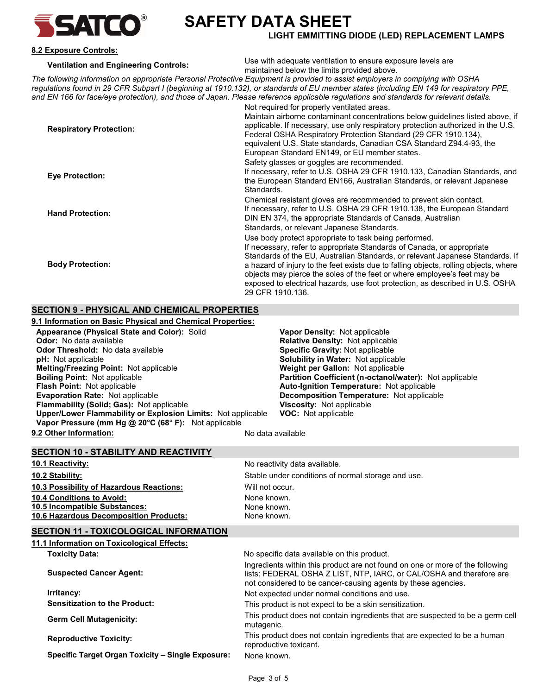

## SAFETY DATA SHEET

#### LIGHT EMMITTING DIODE (LED) REPLACEMENT LAMPS

#### 8.2 Exposure Controls:

Ventilation and Engineering Controls: Use with adequate ventilation to ensure exposure levels are maintained below the limits provided above.

The following information on appropriate Personal Protective Equipment is provided to assist employers in complying with OSHA regulations found in 29 CFR Subpart I (beginning at 1910.132), or standards of EU member states (including EN 149 for respiratory PPE, and EN 166 for face/eye protection), and those of Japan. Please reference applicable regulations and standards for relevant details. Not required for properly ventilated areas.

| <b>Respiratory Protection:</b> | ivot reguliea for property veritilated areas.<br>Maintain airborne contaminant concentrations below quidelines listed above, if<br>applicable. If necessary, use only respiratory protection authorized in the U.S.<br>Federal OSHA Respiratory Protection Standard (29 CFR 1910.134),<br>equivalent U.S. State standards, Canadian CSA Standard Z94.4-93, the                                                                                                                            |
|--------------------------------|-------------------------------------------------------------------------------------------------------------------------------------------------------------------------------------------------------------------------------------------------------------------------------------------------------------------------------------------------------------------------------------------------------------------------------------------------------------------------------------------|
| <b>Eye Protection:</b>         | European Standard EN149, or EU member states.<br>Safety glasses or goggles are recommended.<br>If necessary, refer to U.S. OSHA 29 CFR 1910.133, Canadian Standards, and<br>the European Standard EN166, Australian Standards, or relevant Japanese<br>Standards.                                                                                                                                                                                                                         |
| <b>Hand Protection:</b>        | Chemical resistant gloves are recommended to prevent skin contact.<br>If necessary, refer to U.S. OSHA 29 CFR 1910.138, the European Standard<br>DIN EN 374, the appropriate Standards of Canada, Australian<br>Standards, or relevant Japanese Standards.                                                                                                                                                                                                                                |
| <b>Body Protection:</b>        | Use body protect appropriate to task being performed.<br>If necessary, refer to appropriate Standards of Canada, or appropriate<br>Standards of the EU, Australian Standards, or relevant Japanese Standards. If<br>a hazard of injury to the feet exists due to falling objects, rolling objects, where<br>objects may pierce the soles of the feet or where employee's feet may be<br>exposed to electrical hazards, use foot protection, as described in U.S. OSHA<br>29 CFR 1910.136. |

#### SECTION 9 - PHYSICAL AND CHEMICAL PROPERTIES

| 9.1 Information on Basic Physical and Chemical Properties:          |                                                         |
|---------------------------------------------------------------------|---------------------------------------------------------|
| Appearance (Physical State and Color): Solid                        | <b>Vapor Density: Not applicable</b>                    |
| <b>Odor:</b> No data available                                      | Relative Density: Not applicable                        |
| <b>Odor Threshold:</b> No data available                            | Specific Gravity: Not applicable                        |
| <b>pH:</b> Not applicable                                           | <b>Solubility in Water: Not applicable</b>              |
| Melting/Freezing Point: Not applicable                              | Weight per Gallon: Not applicable                       |
| <b>Boiling Point: Not applicable</b>                                | Partition Coefficient (n-octanol/water): Not applicable |
| <b>Flash Point: Not applicable</b>                                  | <b>Auto-Ignition Temperature: Not applicable</b>        |
| <b>Evaporation Rate: Not applicable</b>                             | Decomposition Temperature: Not applicable               |
| <b>Flammability (Solid: Gas): Not applicable</b>                    | <b>Viscosity:</b> Not applicable                        |
| <b>Upper/Lower Flammability or Explosion Limits: Not applicable</b> | <b>VOC:</b> Not applicable                              |
| Vapor Pressure (mm Hg @ 20°C (68° F): Not applicable                |                                                         |
| 9.2 Other Information:                                              | No data available                                       |

| <b>SECTION 10 - STABILITY AND REACTIVITY</b>                         |               |
|----------------------------------------------------------------------|---------------|
| 10.1 Reactivity:                                                     | No reactivity |
| $\overline{10.0}$ $\overline{0.0}$ $\overline{1.1}$ $\overline{1.1}$ | <del>.</del>  |

| <b>10.2 Stability:</b>                   |
|------------------------------------------|
| 10.3 Possibility of Hazardous Reactions: |
| <b>10.4 Conditions to Avoid:</b>         |
| 10.5 Incompatible Substances:            |
| 10.6 Hazardous Decomposition Products:   |

v data available. Stable under conditions of normal storage and use. Will not occur. None known. None known. None known.

#### **SECTION 11 - TOXICOLOGICAL INFORMATION**

| 11.1 Information on Toxicological Effects:        |                                                                                                                                                                                                                        |
|---------------------------------------------------|------------------------------------------------------------------------------------------------------------------------------------------------------------------------------------------------------------------------|
| <b>Toxicity Data:</b>                             | No specific data available on this product.                                                                                                                                                                            |
| <b>Suspected Cancer Agent:</b>                    | Ingredients within this product are not found on one or more of the following<br>lists: FEDERAL OSHA Z LIST, NTP, IARC, or CAL/OSHA and therefore are<br>not considered to be cancer-causing agents by these agencies. |
| Irritancy:                                        | Not expected under normal conditions and use.                                                                                                                                                                          |
| <b>Sensitization to the Product:</b>              | This product is not expect to be a skin sensitization.                                                                                                                                                                 |
| <b>Germ Cell Mutagenicity:</b>                    | This product does not contain ingredients that are suspected to be a germ cell<br>mutagenic.                                                                                                                           |
| <b>Reproductive Toxicity:</b>                     | This product does not contain ingredients that are expected to be a human<br>reproductive toxicant.                                                                                                                    |
| Specific Target Organ Toxicity - Single Exposure: | None known.                                                                                                                                                                                                            |
|                                                   |                                                                                                                                                                                                                        |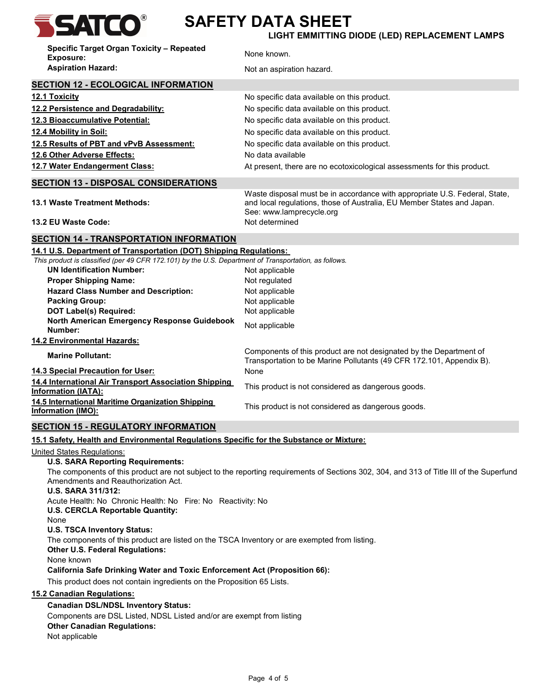

# SATCO<sup>®</sup> SAFETY DATA SHEET

LIGHT EMMITTING DIODE (LED) REPLACEMENT LAMPS

| Specific Target Organ Toxicity - Repeated<br><b>Exposure:</b>                                                                                                                                                | None known.                                                                                                                                                                      |
|--------------------------------------------------------------------------------------------------------------------------------------------------------------------------------------------------------------|----------------------------------------------------------------------------------------------------------------------------------------------------------------------------------|
| <b>Aspiration Hazard:</b>                                                                                                                                                                                    | Not an aspiration hazard.                                                                                                                                                        |
| <b>SECTION 12 - ECOLOGICAL INFORMATION</b>                                                                                                                                                                   |                                                                                                                                                                                  |
| <b>12.1 Toxicity</b>                                                                                                                                                                                         | No specific data available on this product.                                                                                                                                      |
| 12.2 Persistence and Degradability:                                                                                                                                                                          | No specific data available on this product.                                                                                                                                      |
| 12.3 Bioaccumulative Potential:                                                                                                                                                                              | No specific data available on this product.                                                                                                                                      |
| 12.4 Mobility in Soil:                                                                                                                                                                                       | No specific data available on this product.                                                                                                                                      |
| 12.5 Results of PBT and vPvB Assessment:                                                                                                                                                                     | No specific data available on this product.                                                                                                                                      |
| 12.6 Other Adverse Effects:                                                                                                                                                                                  | No data available                                                                                                                                                                |
| 12.7 Water Endangerment Class:                                                                                                                                                                               | At present, there are no ecotoxicological assessments for this product.                                                                                                          |
| <b>SECTION 13 - DISPOSAL CONSIDERATIONS</b>                                                                                                                                                                  |                                                                                                                                                                                  |
| <b>13.1 Waste Treatment Methods:</b>                                                                                                                                                                         | Waste disposal must be in accordance with appropriate U.S. Federal, State,<br>and local regulations, those of Australia, EU Member States and Japan.<br>See: www.lamprecycle.org |
| 13.2 EU Waste Code:                                                                                                                                                                                          | Not determined                                                                                                                                                                   |
| <b>SECTION 14 - TRANSPORTATION INFORMATION</b>                                                                                                                                                               |                                                                                                                                                                                  |
| 14.1 U.S. Department of Transportation (DOT) Shipping Regulations:<br>This product is classified (per 49 CFR 172.101) by the U.S. Department of Transportation, as follows.                                  |                                                                                                                                                                                  |
| <b>UN Identification Number:</b>                                                                                                                                                                             |                                                                                                                                                                                  |
| <b>Proper Shipping Name:</b>                                                                                                                                                                                 | Not applicable<br>Not regulated                                                                                                                                                  |
| <b>Hazard Class Number and Description:</b>                                                                                                                                                                  | Not applicable                                                                                                                                                                   |
| <b>Packing Group:</b>                                                                                                                                                                                        | Not applicable                                                                                                                                                                   |
| <b>DOT Label(s) Required:</b>                                                                                                                                                                                | Not applicable                                                                                                                                                                   |
| North American Emergency Response Guidebook<br>Number:                                                                                                                                                       | Not applicable                                                                                                                                                                   |
| 14.2 Environmental Hazards:                                                                                                                                                                                  |                                                                                                                                                                                  |
| <b>Marine Pollutant:</b>                                                                                                                                                                                     | Components of this product are not designated by the Department of<br>Transportation to be Marine Pollutants (49 CFR 172.101, Appendix B).                                       |
| 14.3 Special Precaution for User:                                                                                                                                                                            | None                                                                                                                                                                             |
| 14.4 International Air Transport Association Shipping<br><b>Information (IATA):</b>                                                                                                                          | This product is not considered as dangerous goods.                                                                                                                               |
| 14.5 International Maritime Organization Shipping<br>Information (IMO):                                                                                                                                      | This product is not considered as dangerous goods.                                                                                                                               |
| <b>SECTION 15 - REGULATORY INFORMATION</b>                                                                                                                                                                   |                                                                                                                                                                                  |
| 15.1 Safety, Health and Environmental Regulations Specific for the Substance or Mixture:                                                                                                                     |                                                                                                                                                                                  |
| United States Regulations:                                                                                                                                                                                   |                                                                                                                                                                                  |
| <b>U.S. SARA Reporting Requirements:</b>                                                                                                                                                                     |                                                                                                                                                                                  |
| The components of this product are not subject to the reporting requirements of Sections 302, 304, and 313 of Title III of the Superfund<br>Amendments and Reauthorization Act.<br><b>U.S. SARA 311/312:</b> |                                                                                                                                                                                  |
| Acute Health: No Chronic Health: No Fire: No Reactivity: No<br>U.S. CERCLA Reportable Quantity:                                                                                                              |                                                                                                                                                                                  |
| None<br><b>U.S. TSCA Inventory Status:</b>                                                                                                                                                                   |                                                                                                                                                                                  |
| The components of this product are listed on the TSCA Inventory or are exempted from listing.<br><b>Other U.S. Federal Regulations:</b>                                                                      |                                                                                                                                                                                  |
| None known<br><b>California Safe Drinking Water and Toxic Enforcement Act (Proposition 66):</b>                                                                                                              |                                                                                                                                                                                  |
|                                                                                                                                                                                                              |                                                                                                                                                                                  |
| This product does not contain ingredients on the Proposition 65 Lists.                                                                                                                                       |                                                                                                                                                                                  |
| <b>15.2 Canadian Regulations:</b>                                                                                                                                                                            |                                                                                                                                                                                  |
| <b>Canadian DSL/NDSL Inventory Status:</b>                                                                                                                                                                   |                                                                                                                                                                                  |
| Components are DSL Listed, NDSL Listed and/or are exempt from listing<br><b>Other Canadian Regulations:</b>                                                                                                  |                                                                                                                                                                                  |
| Not applicable                                                                                                                                                                                               |                                                                                                                                                                                  |
|                                                                                                                                                                                                              |                                                                                                                                                                                  |